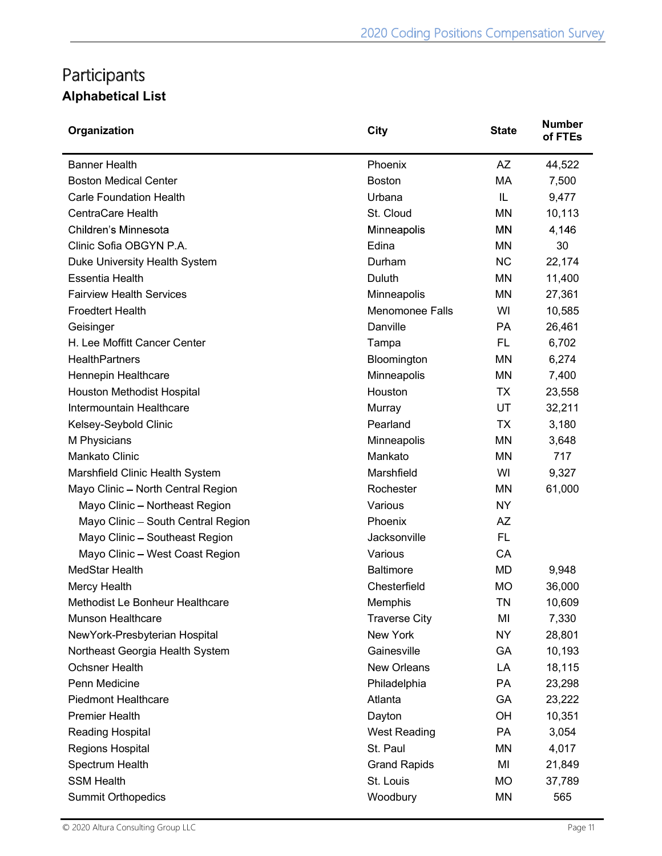## Participants Alphabetical List

| Organization                       | City                   | <b>State</b> | <b>Number</b><br>of FTEs |
|------------------------------------|------------------------|--------------|--------------------------|
| <b>Banner Health</b>               | Phoenix                | <b>AZ</b>    | 44,522                   |
| <b>Boston Medical Center</b>       | <b>Boston</b>          | MA           | 7,500                    |
| <b>Carle Foundation Health</b>     | Urbana                 | IL           | 9,477                    |
| <b>CentraCare Health</b>           | St. Cloud              | ΜN           | 10,113                   |
| Children's Minnesota               | Minneapolis            | ΜN           | 4,146                    |
| Clinic Sofia OBGYN P.A.            | Edina                  | ΜN           | 30                       |
| Duke University Health System      | Durham                 | <b>NC</b>    | 22,174                   |
| <b>Essentia Health</b>             | Duluth                 | ΜN           | 11,400                   |
| <b>Fairview Health Services</b>    | Minneapolis            | ΜN           | 27,361                   |
| <b>Froedtert Health</b>            | <b>Menomonee Falls</b> | WI           | 10,585                   |
| Geisinger                          | Danville               | <b>PA</b>    | 26,461                   |
| H. Lee Moffitt Cancer Center       | Tampa                  | <b>FL</b>    | 6,702                    |
| <b>HealthPartners</b>              | Bloomington            | ΜN           | 6,274                    |
| Hennepin Healthcare                | Minneapolis            | ΜN           | 7,400                    |
| Houston Methodist Hospital         | Houston                | ТX           | 23,558                   |
| Intermountain Healthcare           | Murray                 | UT           | 32,211                   |
| Kelsey-Seybold Clinic              | Pearland               | ТX           | 3,180                    |
| M Physicians                       | Minneapolis            | ΜN           | 3,648                    |
| Mankato Clinic                     | Mankato                | ΜN           | 717                      |
| Marshfield Clinic Health System    | Marshfield             | WI           | 9,327                    |
| Mayo Clinic - North Central Region | Rochester              | ΜN           | 61,000                   |
| Mayo Clinic - Northeast Region     | Various                | NY           |                          |
| Mayo Clinic - South Central Region | Phoenix                | <b>AZ</b>    |                          |
| Mayo Clinic - Southeast Region     | Jacksonville           | <b>FL</b>    |                          |
| Mayo Clinic - West Coast Region    | Various                | CA           |                          |
| MedStar Health                     | <b>Baltimore</b>       | MD           | 9,948                    |
| Mercy Health                       | Chesterfield           | МO           | 36,000                   |
| Methodist Le Bonheur Healthcare    | Memphis                | TN           | 10,609                   |
| <b>Munson Healthcare</b>           | <b>Traverse City</b>   | MI           | 7,330                    |
| NewYork-Presbyterian Hospital      | New York               | <b>NY</b>    | 28,801                   |
| Northeast Georgia Health System    | Gainesville            | GA           | 10,193                   |
| Ochsner Health                     | New Orleans            | LA           | 18,115                   |
| Penn Medicine                      | Philadelphia           | PA           | 23,298                   |
| <b>Piedmont Healthcare</b>         | Atlanta                | GA           | 23,222                   |
| <b>Premier Health</b>              | Dayton                 | OH           | 10,351                   |
| Reading Hospital                   | <b>West Reading</b>    | PA           | 3,054                    |
| Regions Hospital                   | St. Paul               | MN           | 4,017                    |
| Spectrum Health                    | <b>Grand Rapids</b>    | MI           | 21,849                   |
| <b>SSM Health</b>                  | St. Louis              | МO           | 37,789                   |
| <b>Summit Orthopedics</b>          | Woodbury               | MN           | 565                      |